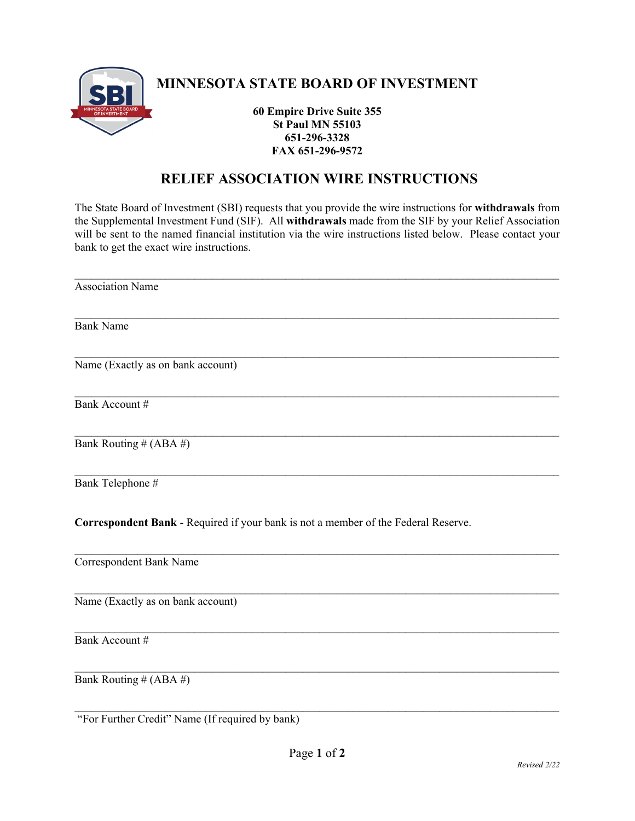

## **MINNESOTA STATE BOARD OF INVESTMENT**

**60 Empire Drive Suite 355 St Paul MN 55103 651-296-3328 FAX 651-296-9572** 

## **RELIEF ASSOCIATION WIRE INSTRUCTIONS**

The State Board of Investment (SBI) requests that you provide the wire instructions for **withdrawals** from the Supplemental Investment Fund (SIF). All **withdrawals** made from the SIF by your Relief Association will be sent to the named financial institution via the wire instructions listed below. Please contact your bank to get the exact wire instructions.

| <b>Association Name</b>                                                            |
|------------------------------------------------------------------------------------|
| <b>Bank Name</b>                                                                   |
| Name (Exactly as on bank account)                                                  |
| Bank Account #                                                                     |
| Bank Routing # (ABA #)                                                             |
| Bank Telephone #                                                                   |
| Correspondent Bank - Required if your bank is not a member of the Federal Reserve. |
| Correspondent Bank Name                                                            |
| Name (Exactly as on bank account)                                                  |
| Bank Account #                                                                     |
| Bank Routing # (ABA #)                                                             |
| "For Further Credit" Name (If required by bank)                                    |